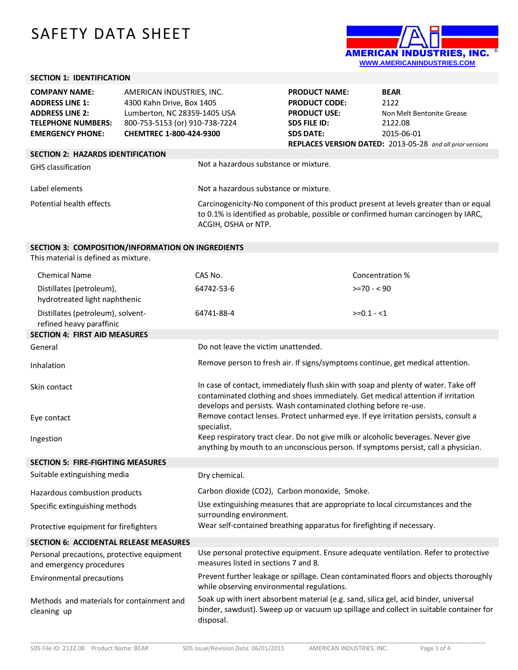## SAFETY DATA SHEET



## **SECTION 1: IDENTIFICATION**

| <b>COMPANY NAME:</b>                     | AMERICAN INDUSTRIES, INC.      |                                                                                                                                                                                                   | <b>PRODUCT NAME:</b> | <b>BEAR</b>                                                      |
|------------------------------------------|--------------------------------|---------------------------------------------------------------------------------------------------------------------------------------------------------------------------------------------------|----------------------|------------------------------------------------------------------|
| <b>ADDRESS LINE 1:</b>                   | 4300 Kahn Drive, Box 1405      |                                                                                                                                                                                                   | <b>PRODUCT CODE:</b> | 2122                                                             |
| <b>ADDRESS LINE 2:</b>                   | Lumberton, NC 28359-1405 USA   |                                                                                                                                                                                                   | <b>PRODUCT USE:</b>  | Non Melt Bentonite Grease                                        |
| <b>TELEPHONE NUMBERS:</b>                | 800-753-5153 (or) 910-738-7224 |                                                                                                                                                                                                   | <b>SDS FILE ID:</b>  | 2122.08                                                          |
| <b>EMERGENCY PHONE:</b>                  | CHEMTREC 1-800-424-9300        |                                                                                                                                                                                                   | <b>SDS DATE:</b>     | 2015-06-01                                                       |
|                                          |                                |                                                                                                                                                                                                   |                      | <b>REPLACES VERSION DATED:</b> 2013-05-28 and all prior versions |
| <b>SECTION 2: HAZARDS IDENTIFICATION</b> |                                |                                                                                                                                                                                                   |                      |                                                                  |
| <b>GHS</b> classification                |                                | Not a hazardous substance or mixture.                                                                                                                                                             |                      |                                                                  |
| Label elements                           |                                | Not a hazardous substance or mixture.                                                                                                                                                             |                      |                                                                  |
| Potential health effects                 |                                | Carcinogenicity-No component of this product present at levels greater than or equal<br>to 0.1% is identified as probable, possible or confirmed human carcinogen by IARC,<br>ACGIH, OSHA or NTP. |                      |                                                                  |

## **SECTION 3: COMPOSITION/INFORMATION ON INGREDIENTS**

This material is defined as mixture.

| <b>Chemical Name</b>                                                   | CAS No.                                                                                                                                                                                                                                    | Concentration % |  |
|------------------------------------------------------------------------|--------------------------------------------------------------------------------------------------------------------------------------------------------------------------------------------------------------------------------------------|-----------------|--|
| Distillates (petroleum),<br>hydrotreated light naphthenic              | 64742-53-6                                                                                                                                                                                                                                 | $>=70 - 90$     |  |
| Distillates (petroleum), solvent-<br>refined heavy paraffinic          | 64741-88-4                                                                                                                                                                                                                                 | $>=0.1 - 1$     |  |
| <b>SECTION 4: FIRST AID MEASURES</b>                                   |                                                                                                                                                                                                                                            |                 |  |
| General                                                                | Do not leave the victim unattended.                                                                                                                                                                                                        |                 |  |
| Inhalation                                                             | Remove person to fresh air. If signs/symptoms continue, get medical attention.                                                                                                                                                             |                 |  |
| Skin contact                                                           | In case of contact, immediately flush skin with soap and plenty of water. Take off<br>contaminated clothing and shoes immediately. Get medical attention if irritation<br>develops and persists. Wash contaminated clothing before re-use. |                 |  |
| Eye contact                                                            | Remove contact lenses. Protect unharmed eye. If eye irritation persists, consult a<br>specialist.                                                                                                                                          |                 |  |
| Ingestion                                                              | Keep respiratory tract clear. Do not give milk or alcoholic beverages. Never give<br>anything by mouth to an unconscious person. If symptoms persist, call a physician.                                                                    |                 |  |
| <b>SECTION 5: FIRE-FIGHTING MEASURES</b>                               |                                                                                                                                                                                                                                            |                 |  |
| Suitable extinguishing media                                           | Dry chemical.                                                                                                                                                                                                                              |                 |  |
| Hazardous combustion products                                          | Carbon dioxide (CO2), Carbon monoxide, Smoke.                                                                                                                                                                                              |                 |  |
| Specific extinguishing methods                                         | Use extinguishing measures that are appropriate to local circumstances and the<br>surrounding environment.                                                                                                                                 |                 |  |
| Protective equipment for firefighters                                  | Wear self-contained breathing apparatus for firefighting if necessary.                                                                                                                                                                     |                 |  |
| <b>SECTION 6: ACCIDENTAL RELEASE MEASURES</b>                          |                                                                                                                                                                                                                                            |                 |  |
| Personal precautions, protective equipment<br>and emergency procedures | Use personal protective equipment. Ensure adequate ventilation. Refer to protective<br>measures listed in sections 7 and 8.                                                                                                                |                 |  |
| <b>Environmental precautions</b>                                       | Prevent further leakage or spillage. Clean contaminated floors and objects thoroughly<br>while observing environmental regulations.                                                                                                        |                 |  |
| Methods and materials for containment and<br>cleaning up               | Soak up with inert absorbent material (e.g. sand, silica gel, acid binder, universal<br>binder, sawdust). Sweep up or vacuum up spillage and collect in suitable container for<br>disposal.                                                |                 |  |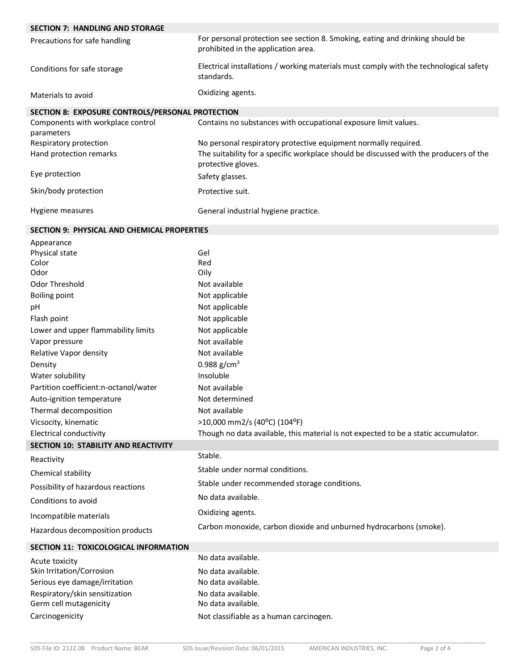| <b>SECTION 7: HANDLING AND STORAGE</b>             |                                                                                                                                                                                 |  |  |
|----------------------------------------------------|---------------------------------------------------------------------------------------------------------------------------------------------------------------------------------|--|--|
| Precautions for safe handling                      | For personal protection see section 8. Smoking, eating and drinking should be<br>prohibited in the application area.                                                            |  |  |
| Conditions for safe storage                        | Electrical installations / working materials must comply with the technological safety<br>standards.                                                                            |  |  |
| Materials to avoid                                 | Oxidizing agents.                                                                                                                                                               |  |  |
| SECTION 8: EXPOSURE CONTROLS/PERSONAL PROTECTION   |                                                                                                                                                                                 |  |  |
| Components with workplace control                  | Contains no substances with occupational exposure limit values.                                                                                                                 |  |  |
| parameters                                         |                                                                                                                                                                                 |  |  |
| Respiratory protection<br>Hand protection remarks  | No personal respiratory protective equipment normally required.<br>The suitability for a specific workplace should be discussed with the producers of the<br>protective gloves. |  |  |
| Eye protection                                     | Safety glasses.                                                                                                                                                                 |  |  |
| Skin/body protection                               | Protective suit.                                                                                                                                                                |  |  |
| Hygiene measures                                   | General industrial hygiene practice.                                                                                                                                            |  |  |
|                                                    |                                                                                                                                                                                 |  |  |
| <b>SECTION 9: PHYSICAL AND CHEMICAL PROPERTIES</b> |                                                                                                                                                                                 |  |  |
| Appearance                                         |                                                                                                                                                                                 |  |  |
| Physical state                                     | Gel                                                                                                                                                                             |  |  |
| Color<br>Odor                                      | Red<br>Oily                                                                                                                                                                     |  |  |
| Odor Threshold                                     | Not available                                                                                                                                                                   |  |  |
| <b>Boiling point</b>                               | Not applicable                                                                                                                                                                  |  |  |
| pH                                                 | Not applicable                                                                                                                                                                  |  |  |
| Flash point                                        | Not applicable                                                                                                                                                                  |  |  |
| Lower and upper flammability limits                | Not applicable                                                                                                                                                                  |  |  |
| Vapor pressure                                     | Not available                                                                                                                                                                   |  |  |
| Relative Vapor density                             | Not available                                                                                                                                                                   |  |  |
| Density                                            | 0.988 $g/cm3$                                                                                                                                                                   |  |  |
| Water solubility                                   | Insoluble                                                                                                                                                                       |  |  |
| Partition coefficient:n-octanol/water              | Not available                                                                                                                                                                   |  |  |
| Auto-ignition temperature                          | Not determined                                                                                                                                                                  |  |  |
| Thermal decomposition                              | Not available                                                                                                                                                                   |  |  |
| Vicsocity, kinematic                               | >10,000 mm2/s (40°C) (104°F)                                                                                                                                                    |  |  |
| <b>Electrical conductivity</b>                     | Though no data available, this material is not expected to be a static accumulator.                                                                                             |  |  |
| SECTION 10: STABILITY AND REACTIVITY               |                                                                                                                                                                                 |  |  |
| Reactivity                                         | Stable.                                                                                                                                                                         |  |  |
| Chemical stability                                 | Stable under normal conditions.                                                                                                                                                 |  |  |
| Possibility of hazardous reactions                 | Stable under recommended storage conditions.                                                                                                                                    |  |  |
| Conditions to avoid                                | No data available.                                                                                                                                                              |  |  |
| Incompatible materials                             | Oxidizing agents.                                                                                                                                                               |  |  |
| Hazardous decomposition products                   | Carbon monoxide, carbon dioxide and unburned hydrocarbons (smoke).                                                                                                              |  |  |
| SECTION 11: TOXICOLOGICAL INFORMATION              |                                                                                                                                                                                 |  |  |
| Acute toxicity                                     | No data available.                                                                                                                                                              |  |  |
| Skin Irritation/Corrosion                          | No data available.                                                                                                                                                              |  |  |
| Serious eye damage/irritation                      | No data available.                                                                                                                                                              |  |  |
| Respiratory/skin sensitization                     | No data available.                                                                                                                                                              |  |  |
| Germ cell mutagenicity                             | No data available.                                                                                                                                                              |  |  |

I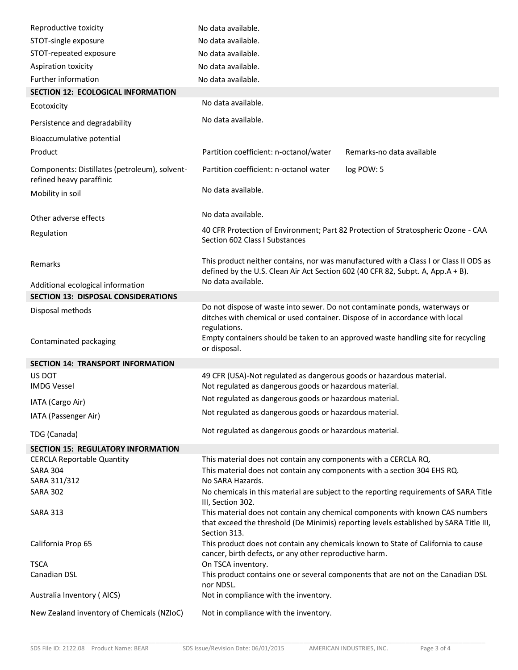| Reproductive toxicity                                                     | No data available.                                                                                                                                                                           |  |  |  |
|---------------------------------------------------------------------------|----------------------------------------------------------------------------------------------------------------------------------------------------------------------------------------------|--|--|--|
| STOT-single exposure                                                      | No data available.                                                                                                                                                                           |  |  |  |
| STOT-repeated exposure                                                    | No data available.                                                                                                                                                                           |  |  |  |
| Aspiration toxicity                                                       | No data available.                                                                                                                                                                           |  |  |  |
| Further information                                                       | No data available.                                                                                                                                                                           |  |  |  |
| SECTION 12: ECOLOGICAL INFORMATION                                        |                                                                                                                                                                                              |  |  |  |
| Ecotoxicity                                                               | No data available.                                                                                                                                                                           |  |  |  |
| Persistence and degradability                                             | No data available.                                                                                                                                                                           |  |  |  |
| Bioaccumulative potential                                                 |                                                                                                                                                                                              |  |  |  |
| Product                                                                   | Partition coefficient: n-octanol/water<br>Remarks-no data available                                                                                                                          |  |  |  |
| Components: Distillates (petroleum), solvent-<br>refined heavy paraffinic | Partition coefficient: n-octanol water<br>log POW: 5                                                                                                                                         |  |  |  |
| Mobility in soil                                                          | No data available.                                                                                                                                                                           |  |  |  |
| Other adverse effects                                                     | No data available.                                                                                                                                                                           |  |  |  |
| Regulation                                                                | 40 CFR Protection of Environment; Part 82 Protection of Stratospheric Ozone - CAA<br>Section 602 Class I Substances                                                                          |  |  |  |
| Remarks                                                                   | This product neither contains, nor was manufactured with a Class I or Class II ODS as<br>defined by the U.S. Clean Air Act Section 602 (40 CFR 82, Subpt. A, App.A + B).                     |  |  |  |
| Additional ecological information                                         | No data available.                                                                                                                                                                           |  |  |  |
| <b>SECTION 13: DISPOSAL CONSIDERATIONS</b>                                |                                                                                                                                                                                              |  |  |  |
| Disposal methods                                                          | Do not dispose of waste into sewer. Do not contaminate ponds, waterways or<br>ditches with chemical or used container. Dispose of in accordance with local<br>regulations.                   |  |  |  |
|                                                                           |                                                                                                                                                                                              |  |  |  |
| Contaminated packaging                                                    | Empty containers should be taken to an approved waste handling site for recycling<br>or disposal.                                                                                            |  |  |  |
| <b>SECTION 14: TRANSPORT INFORMATION</b>                                  |                                                                                                                                                                                              |  |  |  |
| US DOT<br><b>IMDG Vessel</b>                                              | 49 CFR (USA)-Not regulated as dangerous goods or hazardous material.<br>Not regulated as dangerous goods or hazardous material.                                                              |  |  |  |
|                                                                           | Not regulated as dangerous goods or hazardous material.                                                                                                                                      |  |  |  |
| IATA (Cargo Air)<br>IATA (Passenger Air)                                  | Not regulated as dangerous goods or hazardous material.                                                                                                                                      |  |  |  |
| TDG (Canada)                                                              | Not regulated as dangerous goods or hazardous material.                                                                                                                                      |  |  |  |
| <b>SECTION 15: REGULATORY INFORMATION</b>                                 |                                                                                                                                                                                              |  |  |  |
| <b>CERCLA Reportable Quantity</b>                                         | This material does not contain any components with a CERCLA RQ.                                                                                                                              |  |  |  |
| <b>SARA 304</b>                                                           | This material does not contain any components with a section 304 EHS RQ.                                                                                                                     |  |  |  |
| SARA 311/312                                                              | No SARA Hazards.                                                                                                                                                                             |  |  |  |
| <b>SARA 302</b>                                                           | No chemicals in this material are subject to the reporting requirements of SARA Title                                                                                                        |  |  |  |
| <b>SARA 313</b>                                                           | III, Section 302.<br>This material does not contain any chemical components with known CAS numbers<br>that exceed the threshold (De Minimis) reporting levels established by SARA Title III, |  |  |  |
| California Prop 65                                                        | Section 313.<br>This product does not contain any chemicals known to State of California to cause<br>cancer, birth defects, or any other reproductive harm.                                  |  |  |  |
| <b>TSCA</b>                                                               | On TSCA inventory.                                                                                                                                                                           |  |  |  |
| Canadian DSL                                                              | This product contains one or several components that are not on the Canadian DSL                                                                                                             |  |  |  |
| Australia Inventory (AICS)                                                | nor NDSL.<br>Not in compliance with the inventory.                                                                                                                                           |  |  |  |